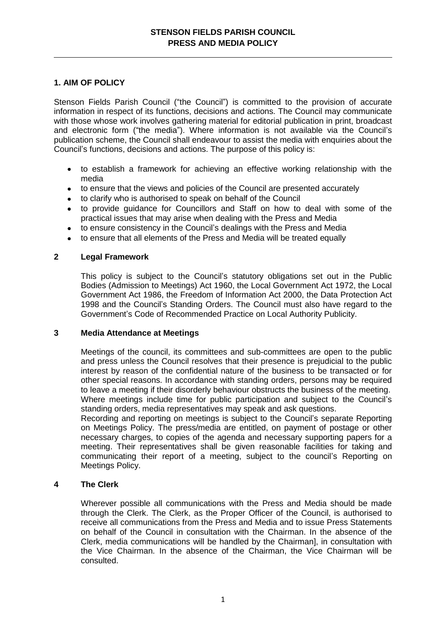# **1. AIM OF POLICY**

Stenson Fields Parish Council ("the Council") is committed to the provision of accurate information in respect of its functions, decisions and actions. The Council may communicate with those whose work involves gathering material for editorial publication in print, broadcast and electronic form ("the media"). Where information is not available via the Council's publication scheme, the Council shall endeavour to assist the media with enquiries about the Council's functions, decisions and actions. The purpose of this policy is:

- to establish a framework for achieving an effective working relationship with the  $\bullet$ media
- to ensure that the views and policies of the Council are presented accurately  $\bullet$
- to clarify who is authorised to speak on behalf of the Council  $\bullet$
- to provide guidance for Councillors and Staff on how to deal with some of the practical issues that may arise when dealing with the Press and Media
- to ensure consistency in the Council's dealings with the Press and Media  $\bullet$
- to ensure that all elements of the Press and Media will be treated equally

## **2 Legal Framework**

This policy is subject to the Council's statutory obligations set out in the Public Bodies (Admission to Meetings) Act 1960, the Local Government Act 1972, the Local Government Act 1986, the Freedom of Information Act 2000, the Data Protection Act 1998 and the Council's Standing Orders. The Council must also have regard to the Government's Code of Recommended Practice on Local Authority Publicity.

## **3 Media Attendance at Meetings**

Meetings of the council, its committees and sub-committees are open to the public and press unless the Council resolves that their presence is prejudicial to the public interest by reason of the confidential nature of the business to be transacted or for other special reasons. In accordance with standing orders, persons may be required to leave a meeting if their disorderly behaviour obstructs the business of the meeting. Where meetings include time for public participation and subject to the Council's

standing orders, media representatives may speak and ask questions. Recording and reporting on meetings is subject to the Council's separate Reporting on Meetings Policy. The press/media are entitled, on payment of postage or other necessary charges, to copies of the agenda and necessary supporting papers for a meeting. Their representatives shall be given reasonable facilities for taking and communicating their report of a meeting, subject to the council's Reporting on Meetings Policy.

## **4 The Clerk**

Wherever possible all communications with the Press and Media should be made through the Clerk. The Clerk, as the Proper Officer of the Council, is authorised to receive all communications from the Press and Media and to issue Press Statements on behalf of the Council in consultation with the Chairman. In the absence of the Clerk, media communications will be handled by the Chairman], in consultation with the Vice Chairman. In the absence of the Chairman, the Vice Chairman will be consulted.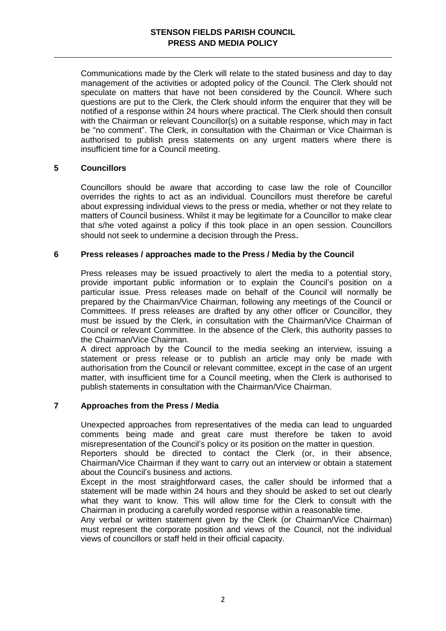Communications made by the Clerk will relate to the stated business and day to day management of the activities or adopted policy of the Council. The Clerk should not speculate on matters that have not been considered by the Council. Where such questions are put to the Clerk, the Clerk should inform the enquirer that they will be notified of a response within 24 hours where practical. The Clerk should then consult with the Chairman or relevant Councillor(s) on a suitable response, which may in fact be "no comment". The Clerk, in consultation with the Chairman or Vice Chairman is authorised to publish press statements on any urgent matters where there is insufficient time for a Council meeting.

## **5 Councillors**

Councillors should be aware that according to case law the role of Councillor overrides the rights to act as an individual. Councillors must therefore be careful about expressing individual views to the press or media, whether or not they relate to matters of Council business. Whilst it may be legitimate for a Councillor to make clear that s/he voted against a policy if this took place in an open session. Councillors should not seek to undermine a decision through the Press.

#### **6 Press releases / approaches made to the Press / Media by the Council**

Press releases may be issued proactively to alert the media to a potential story, provide important public information or to explain the Council's position on a particular issue. Press releases made on behalf of the Council will normally be prepared by the Chairman/Vice Chairman, following any meetings of the Council or Committees. If press releases are drafted by any other officer or Councillor, they must be issued by the Clerk, in consultation with the Chairman/Vice Chairman of Council or relevant Committee. In the absence of the Clerk, this authority passes to the Chairman/Vice Chairman.

A direct approach by the Council to the media seeking an interview, issuing a statement or press release or to publish an article may only be made with authorisation from the Council or relevant committee, except in the case of an urgent matter, with insufficient time for a Council meeting, when the Clerk is authorised to publish statements in consultation with the Chairman/Vice Chairman.

## **7 Approaches from the Press / Media**

Unexpected approaches from representatives of the media can lead to unguarded comments being made and great care must therefore be taken to avoid misrepresentation of the Council's policy or its position on the matter in question.

Reporters should be directed to contact the Clerk (or, in their absence, Chairman/Vice Chairman if they want to carry out an interview or obtain a statement about the Council's business and actions.

Except in the most straightforward cases, the caller should be informed that a statement will be made within 24 hours and they should be asked to set out clearly what they want to know. This will allow time for the Clerk to consult with the Chairman in producing a carefully worded response within a reasonable time.

Any verbal or written statement given by the Clerk (or Chairman/Vice Chairman) must represent the corporate position and views of the Council, not the individual views of councillors or staff held in their official capacity.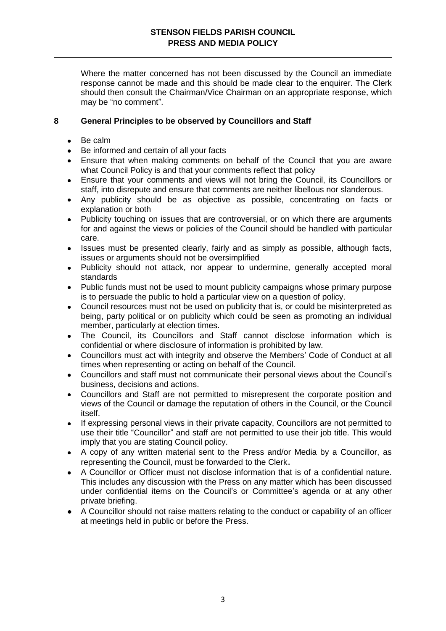Where the matter concerned has not been discussed by the Council an immediate response cannot be made and this should be made clear to the enquirer. The Clerk should then consult the Chairman/Vice Chairman on an appropriate response, which may be "no comment".

## **8 General Principles to be observed by Councillors and Staff**

- $\bullet$ Be calm
- Be informed and certain of all your facts
- Ensure that when making comments on behalf of the Council that you are aware  $\bullet$ what Council Policy is and that your comments reflect that policy
- Ensure that your comments and views will not bring the Council, its Councillors or  $\bullet$ staff, into disrepute and ensure that comments are neither libellous nor slanderous.
- Any publicity should be as objective as possible, concentrating on facts or explanation or both
- Publicity touching on issues that are controversial, or on which there are arguments for and against the views or policies of the Council should be handled with particular care.
- Issues must be presented clearly, fairly and as simply as possible, although facts,  $\bullet$ issues or arguments should not be oversimplified
- Publicity should not attack, nor appear to undermine, generally accepted moral  $\bullet$ standards
- Public funds must not be used to mount publicity campaigns whose primary purpose  $\bullet$ is to persuade the public to hold a particular view on a question of policy.
- Council resources must not be used on publicity that is, or could be misinterpreted as  $\bullet$ being, party political or on publicity which could be seen as promoting an individual member, particularly at election times.
- The Council, its Councillors and Staff cannot disclose information which is  $\bullet$ confidential or where disclosure of information is prohibited by law.
- Councillors must act with integrity and observe the Members' Code of Conduct at all  $\bullet$ times when representing or acting on behalf of the Council.
- Councillors and staff must not communicate their personal views about the Council's  $\bullet$ business, decisions and actions.
- Councillors and Staff are not permitted to misrepresent the corporate position and views of the Council or damage the reputation of others in the Council, or the Council itself.
- $\bullet$ If expressing personal views in their private capacity, Councillors are not permitted to use their title "Councillor" and staff are not permitted to use their job title. This would imply that you are stating Council policy.
- A copy of any written material sent to the Press and/or Media by a Councillor, as  $\bullet$ representing the Council, must be forwarded to the Clerk.
- A Councillor or Officer must not disclose information that is of a confidential nature.  $\bullet$ This includes any discussion with the Press on any matter which has been discussed under confidential items on the Council's or Committee's agenda or at any other private briefing.
- A Councillor should not raise matters relating to the conduct or capability of an officer at meetings held in public or before the Press.